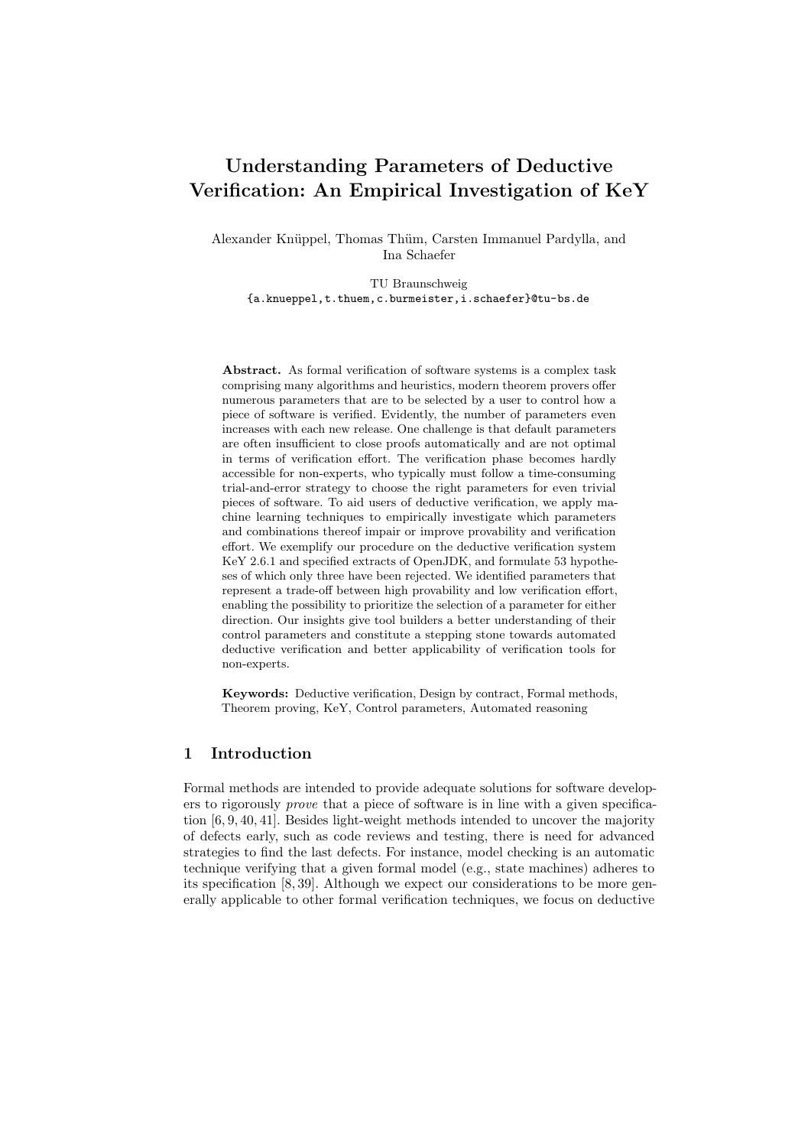# Understanding Parameters of Deductive Verification: An Empirical Investigation of KeY

Alexander Knüppel, Thomas Thüm, Carsten Immanuel Pardylla, and Ina Schaefer

TU Braunschweig {a.knueppel,t.thuem,c.burmeister,i.schaefer}@tu-bs.de

Abstract. As formal verification of software systems is a complex task comprising many algorithms and heuristics, modern theorem provers offer numerous parameters that are to be selected by a user to control how a piece of software is verified. Evidently, the number of parameters even increases with each new release. One challenge is that default parameters are often insufficient to close proofs automatically and are not optimal in terms of verification effort. The verification phase becomes hardly accessible for non-experts, who typically must follow a time-consuming trial-and-error strategy to choose the right parameters for even trivial pieces of software. To aid users of deductive verification, we apply machine learning techniques to empirically investigate which parameters and combinations thereof impair or improve provability and verification effort. We exemplify our procedure on the deductive verification system KeY 2.6.1 and specified extracts of OpenJDK, and formulate 53 hypotheses of which only three have been rejected. We identified parameters that represent a trade-off between high provability and low verification effort, enabling the possibility to prioritize the selection of a parameter for either direction. Our insights give tool builders a better understanding of their control parameters and constitute a stepping stone towards automated deductive verification and better applicability of verification tools for non-experts.

Keywords: Deductive verification, Design by contract, Formal methods, Theorem proving, KeY, Control parameters, Automated reasoning

# 1 Introduction

Formal methods are intended to provide adequate solutions for software developers to rigorously prove that a piece of software is in line with a given specification [6, 9, 40, 41]. Besides light-weight methods intended to uncover the majority of defects early, such as code reviews and testing, there is need for advanced strategies to find the last defects. For instance, model checking is an automatic technique verifying that a given formal model (e.g., state machines) adheres to its specification [8, 39]. Although we expect our considerations to be more generally applicable to other formal verification techniques, we focus on deductive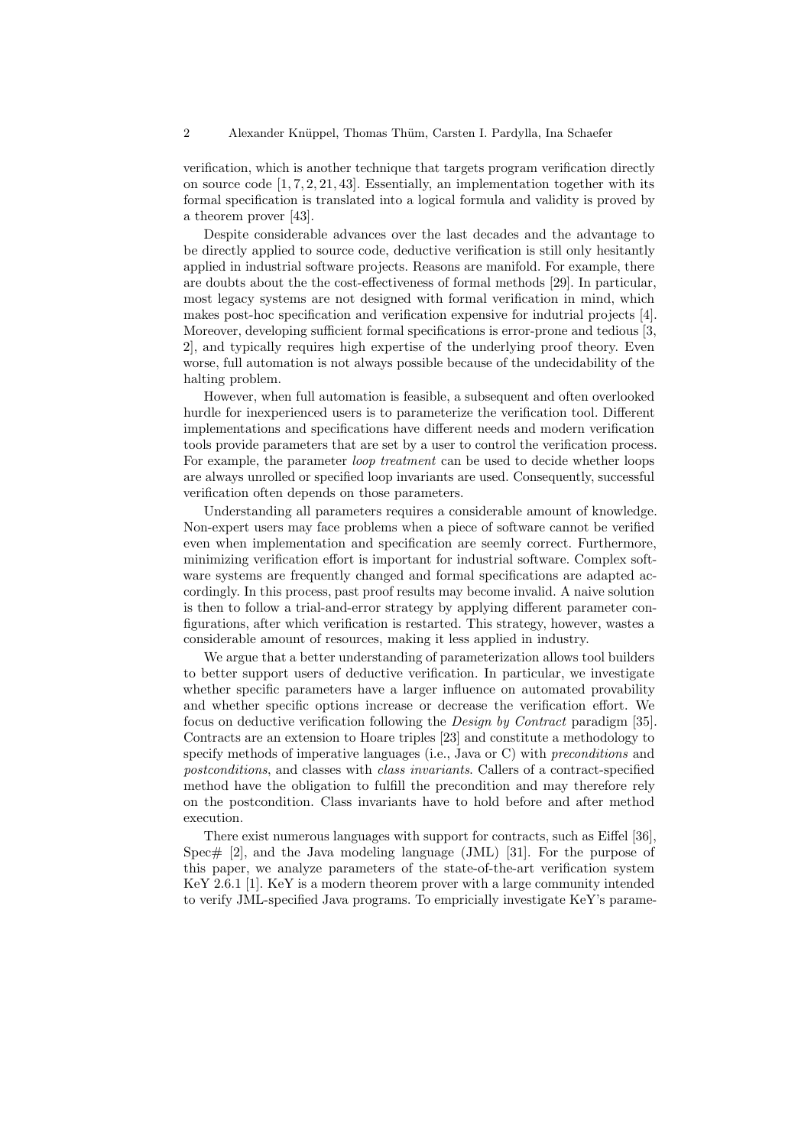verification, which is another technique that targets program verification directly on source code [1, 7, 2, 21, 43]. Essentially, an implementation together with its formal specification is translated into a logical formula and validity is proved by a theorem prover [43].

Despite considerable advances over the last decades and the advantage to be directly applied to source code, deductive verification is still only hesitantly applied in industrial software projects. Reasons are manifold. For example, there are doubts about the the cost-effectiveness of formal methods [29]. In particular, most legacy systems are not designed with formal verification in mind, which makes post-hoc specification and verification expensive for indutrial projects [4]. Moreover, developing sufficient formal specifications is error-prone and tedious [3, 2], and typically requires high expertise of the underlying proof theory. Even worse, full automation is not always possible because of the undecidability of the halting problem.

However, when full automation is feasible, a subsequent and often overlooked hurdle for inexperienced users is to parameterize the verification tool. Different implementations and specifications have different needs and modern verification tools provide parameters that are set by a user to control the verification process. For example, the parameter *loop treatment* can be used to decide whether loops are always unrolled or specified loop invariants are used. Consequently, successful verification often depends on those parameters.

Understanding all parameters requires a considerable amount of knowledge. Non-expert users may face problems when a piece of software cannot be verified even when implementation and specification are seemly correct. Furthermore, minimizing verification effort is important for industrial software. Complex software systems are frequently changed and formal specifications are adapted accordingly. In this process, past proof results may become invalid. A naive solution is then to follow a trial-and-error strategy by applying different parameter configurations, after which verification is restarted. This strategy, however, wastes a considerable amount of resources, making it less applied in industry.

We argue that a better understanding of parameterization allows tool builders to better support users of deductive verification. In particular, we investigate whether specific parameters have a larger influence on automated provability and whether specific options increase or decrease the verification effort. We focus on deductive verification following the Design by Contract paradigm [35]. Contracts are an extension to Hoare triples [23] and constitute a methodology to specify methods of imperative languages (i.e., Java or C) with *preconditions* and postconditions, and classes with class invariants. Callers of a contract-specified method have the obligation to fulfill the precondition and may therefore rely on the postcondition. Class invariants have to hold before and after method execution.

There exist numerous languages with support for contracts, such as Eiffel [36], Spec#  $[2]$ , and the Java modeling language (JML)  $[31]$ . For the purpose of this paper, we analyze parameters of the state-of-the-art verification system KeY 2.6.1 [1]. KeY is a modern theorem prover with a large community intended to verify JML-specified Java programs. To empricially investigate KeY's parame-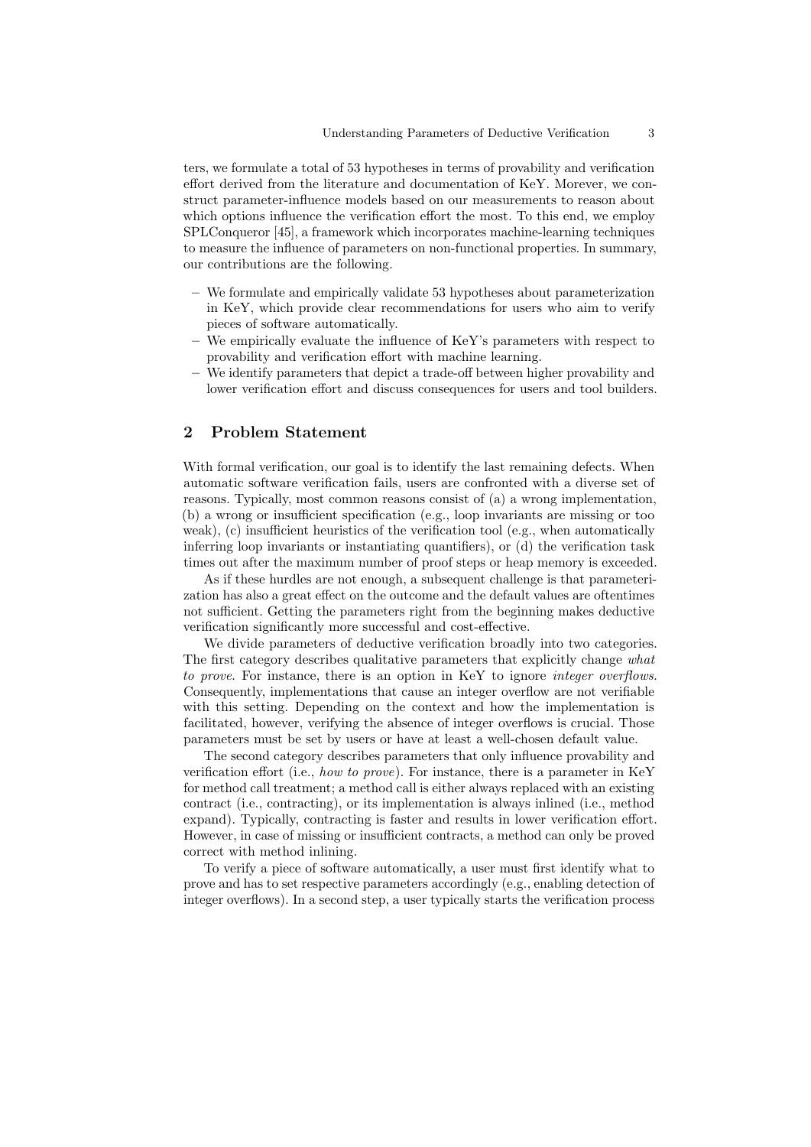ters, we formulate a total of 53 hypotheses in terms of provability and verification effort derived from the literature and documentation of KeY. Morever, we construct parameter-influence models based on our measurements to reason about which options influence the verification effort the most. To this end, we employ SPLConqueror [45], a framework which incorporates machine-learning techniques to measure the influence of parameters on non-functional properties. In summary, our contributions are the following.

- We formulate and empirically validate 53 hypotheses about parameterization in KeY, which provide clear recommendations for users who aim to verify pieces of software automatically.
- We empirically evaluate the influence of KeY's parameters with respect to provability and verification effort with machine learning.
- We identify parameters that depict a trade-off between higher provability and lower verification effort and discuss consequences for users and tool builders.

# 2 Problem Statement

With formal verification, our goal is to identify the last remaining defects. When automatic software verification fails, users are confronted with a diverse set of reasons. Typically, most common reasons consist of (a) a wrong implementation, (b) a wrong or insufficient specification (e.g., loop invariants are missing or too weak), (c) insufficient heuristics of the verification tool (e.g., when automatically inferring loop invariants or instantiating quantifiers), or (d) the verification task times out after the maximum number of proof steps or heap memory is exceeded.

As if these hurdles are not enough, a subsequent challenge is that parameterization has also a great effect on the outcome and the default values are oftentimes not sufficient. Getting the parameters right from the beginning makes deductive verification significantly more successful and cost-effective.

We divide parameters of deductive verification broadly into two categories. The first category describes qualitative parameters that explicitly change what to prove. For instance, there is an option in KeY to ignore *integer overflows*. Consequently, implementations that cause an integer overflow are not verifiable with this setting. Depending on the context and how the implementation is facilitated, however, verifying the absence of integer overflows is crucial. Those parameters must be set by users or have at least a well-chosen default value.

The second category describes parameters that only influence provability and verification effort (i.e., how to prove). For instance, there is a parameter in KeY for method call treatment; a method call is either always replaced with an existing contract (i.e., contracting), or its implementation is always inlined (i.e., method expand). Typically, contracting is faster and results in lower verification effort. However, in case of missing or insufficient contracts, a method can only be proved correct with method inlining.

To verify a piece of software automatically, a user must first identify what to prove and has to set respective parameters accordingly (e.g., enabling detection of integer overflows). In a second step, a user typically starts the verification process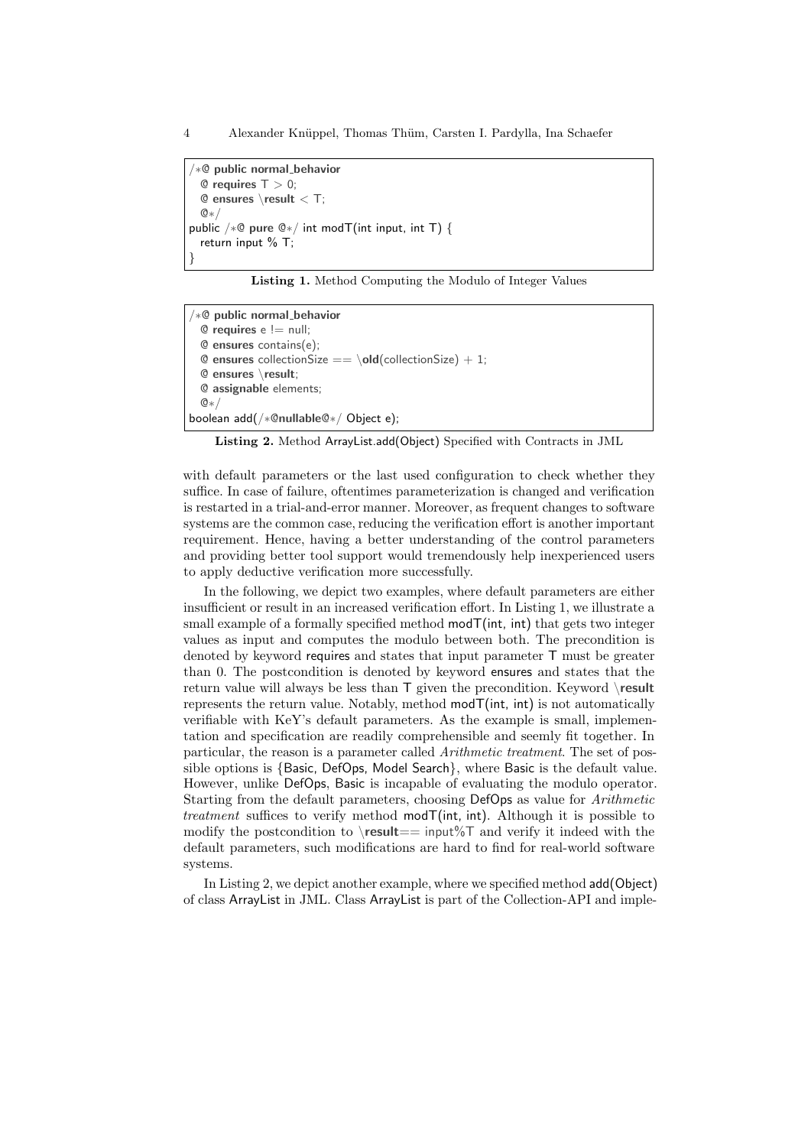/∗@ public normal behavior  $@$  requires  $T > 0$ ;  $@$  ensures \result  $<$  T; @∗/ public /∗@ pure @∗/ int modT(int input, int T) { return input % T; }

Listing 1. Method Computing the Modulo of Integer Values

/∗@ public normal behavior  $@$  requires  $e != null;$ @ ensures contains(e); **@ ensures** collectionSize  $== \text{old}$ (collectionSize) + 1; @ ensures \result; @ assignable elements; @∗/ boolean add(/∗@nullable@∗/ Object e);

Listing 2. Method ArrayList.add(Object) Specified with Contracts in JML

with default parameters or the last used configuration to check whether they suffice. In case of failure, oftentimes parameterization is changed and verification is restarted in a trial-and-error manner. Moreover, as frequent changes to software systems are the common case, reducing the verification effort is another important requirement. Hence, having a better understanding of the control parameters and providing better tool support would tremendously help inexperienced users to apply deductive verification more successfully.

In the following, we depict two examples, where default parameters are either insufficient or result in an increased verification effort. In Listing 1, we illustrate a small example of a formally specified method mod $T(int, int)$  that gets two integer values as input and computes the modulo between both. The precondition is denoted by keyword requires and states that input parameter T must be greater than 0. The postcondition is denoted by keyword ensures and states that the return value will always be less than  $\mathsf T$  given the precondition. Keyword  $\mathsf{result}$ represents the return value. Notably, method modT(int, int) is not automatically verifiable with KeY's default parameters. As the example is small, implementation and specification are readily comprehensible and seemly fit together. In particular, the reason is a parameter called Arithmetic treatment. The set of possible options is {Basic, DefOps, Model Search}, where Basic is the default value. However, unlike DefOps, Basic is incapable of evaluating the modulo operator. Starting from the default parameters, choosing DefOps as value for Arithmetic treatment suffices to verify method modT(int, int). Although it is possible to modify the postcondition to  $\text{result} == \text{input}$  and verify it indeed with the default parameters, such modifications are hard to find for real-world software systems.

In Listing 2, we depict another example, where we specified method add(Object) of class ArrayList in JML. Class ArrayList is part of the Collection-API and imple-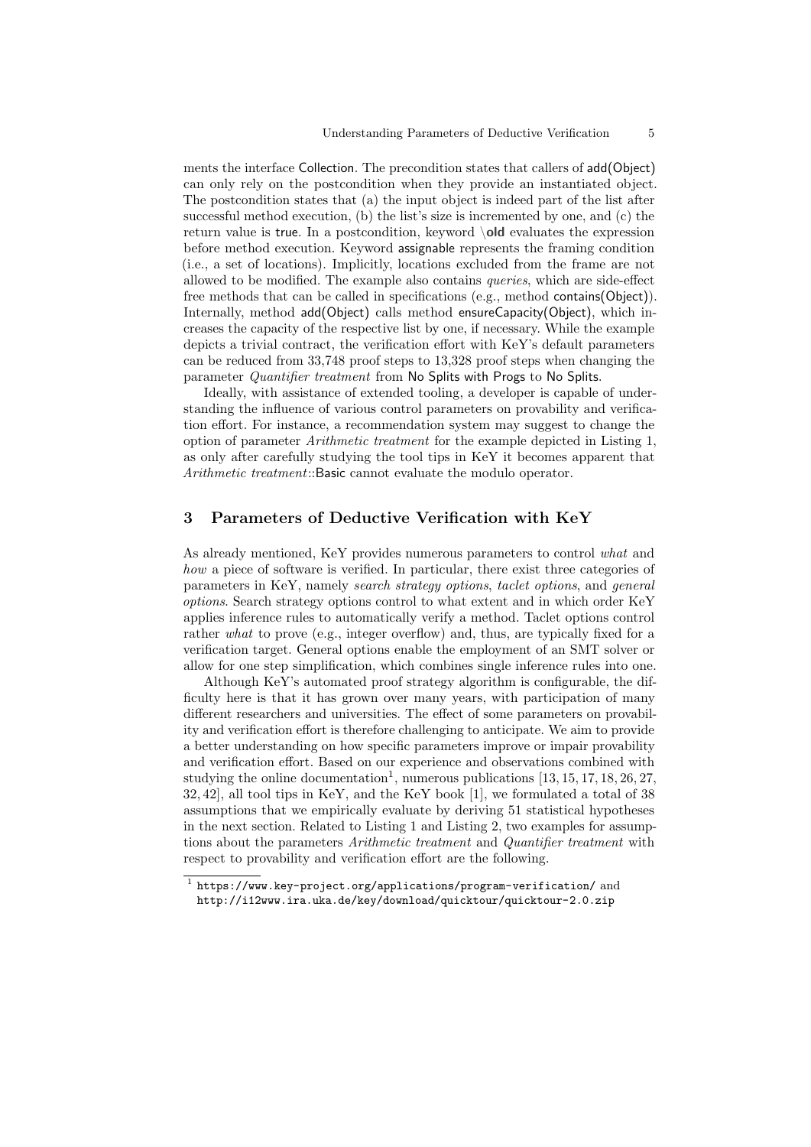ments the interface Collection. The precondition states that callers of add(Object) can only rely on the postcondition when they provide an instantiated object. The postcondition states that (a) the input object is indeed part of the list after successful method execution, (b) the list's size is incremented by one, and (c) the return value is true. In a postcondition, keyword  $\delta$  old evaluates the expression before method execution. Keyword assignable represents the framing condition (i.e., a set of locations). Implicitly, locations excluded from the frame are not allowed to be modified. The example also contains queries, which are side-effect free methods that can be called in specifications (e.g., method contains(Object)). Internally, method add(Object) calls method ensureCapacity(Object), which increases the capacity of the respective list by one, if necessary. While the example depicts a trivial contract, the verification effort with KeY's default parameters can be reduced from 33,748 proof steps to 13,328 proof steps when changing the parameter *Quantifier treatment* from No Splits with Progs to No Splits.

Ideally, with assistance of extended tooling, a developer is capable of understanding the influence of various control parameters on provability and verification effort. For instance, a recommendation system may suggest to change the option of parameter Arithmetic treatment for the example depicted in Listing 1, as only after carefully studying the tool tips in KeY it becomes apparent that Arithmetic treatment::Basic cannot evaluate the modulo operator.

# 3 Parameters of Deductive Verification with KeY

As already mentioned, KeY provides numerous parameters to control what and how a piece of software is verified. In particular, there exist three categories of parameters in KeY, namely search strategy options, taclet options, and general options. Search strategy options control to what extent and in which order KeY applies inference rules to automatically verify a method. Taclet options control rather what to prove (e.g., integer overflow) and, thus, are typically fixed for a verification target. General options enable the employment of an SMT solver or allow for one step simplification, which combines single inference rules into one.

Although KeY's automated proof strategy algorithm is configurable, the difficulty here is that it has grown over many years, with participation of many different researchers and universities. The effect of some parameters on provability and verification effort is therefore challenging to anticipate. We aim to provide a better understanding on how specific parameters improve or impair provability and verification effort. Based on our experience and observations combined with studying the online documentation<sup>1</sup>, numerous publications  $[13, 15, 17, 18, 26, 27,$ 32, 42], all tool tips in KeY, and the KeY book [1], we formulated a total of 38 assumptions that we empirically evaluate by deriving 51 statistical hypotheses in the next section. Related to Listing 1 and Listing 2, two examples for assumptions about the parameters Arithmetic treatment and Quantifier treatment with respect to provability and verification effort are the following.

 $^1$  https://www.key-project.org/applications/program-verification/ $\,$  and  $\,$ http://i12www.ira.uka.de/key/download/quicktour/quicktour-2.0.zip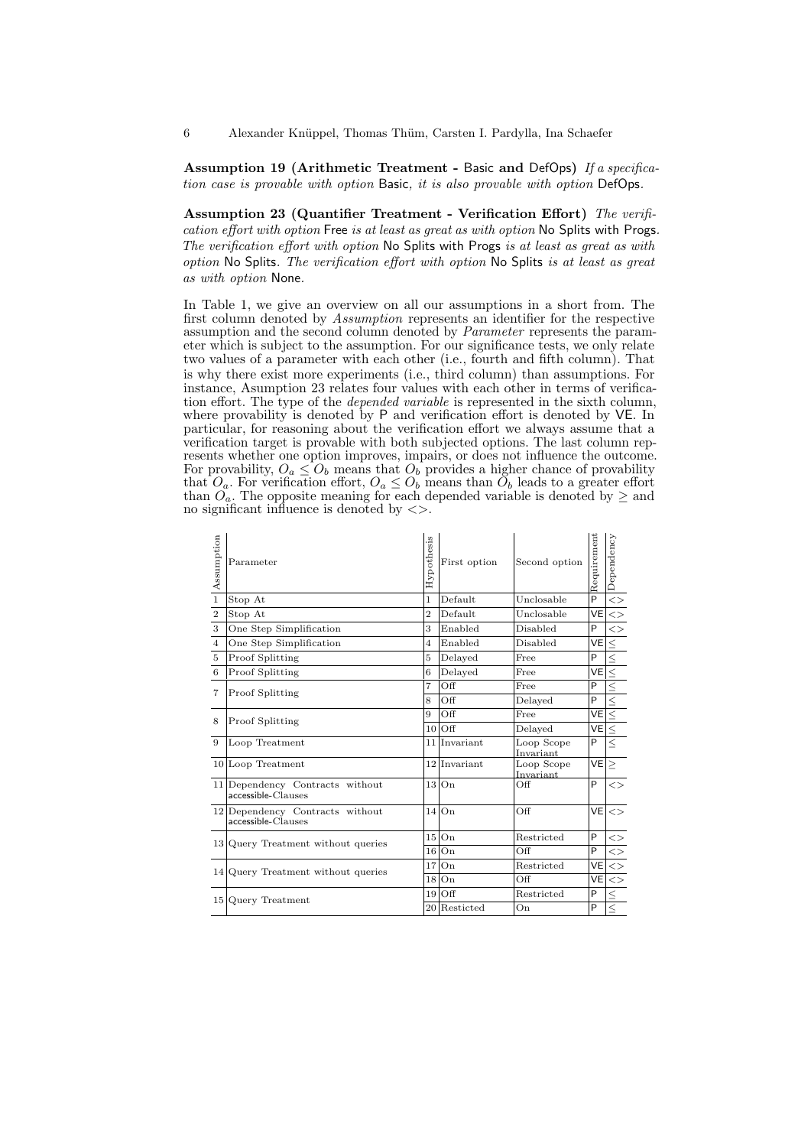Assumption 19 (Arithmetic Treatment - Basic and DefOps) If a specification case is provable with option Basic, it is also provable with option DefOps.

Assumption 23 (Quantifier Treatment - Verification Effort) The verification effort with option Free is at least as great as with option No Splits with Progs. The verification effort with option No Splits with Progs is at least as great as with option No Splits. The verification effort with option No Splits is at least as great as with option None.

In Table 1, we give an overview on all our assumptions in a short from. The first column denoted by Assumption represents an identifier for the respective assumption and the second column denoted by Parameter represents the parameter which is subject to the assumption. For our significance tests, we only relate two values of a parameter with each other (i.e., fourth and fifth column). That is why there exist more experiments (i.e., third column) than assumptions. For instance, Asumption 23 relates four values with each other in terms of verification effort. The type of the depended variable is represented in the sixth column, where provability is denoted by  $P$  and verification effort is denoted by  $VE$ . In particular, for reasoning about the verification effort we always assume that a verification target is provable with both subjected options. The last column represents whether one option improves, impairs, or does not influence the outcome. For provability,  $O_a \leq O_b$  means that  $O_b$  provides a higher chance of provability that  $O_a$ . For verification effort,  $O_a \leq O_b$  means than  $O_b$  leads to a greater effort than  $O_a$ . The opposite meaning for each depended variable is denoted by  $\geq$  and no significant influence is denoted by  $\langle \rangle$ .

| Assumption     | Parameter                                             | Hypothesis      | First option | Second option           | Requirement | Dependency           |
|----------------|-------------------------------------------------------|-----------------|--------------|-------------------------|-------------|----------------------|
| $\mathbf{1}$   | Stop At                                               | 1               | Default      | Unclosable              | P           | $\lt$                |
| $\overline{2}$ | Stop At                                               | $\overline{2}$  | Default      | Unclosable              | VE          | $\lt$                |
| 3              | One Step Simplification                               | 3               | Enabled      | Disabled                | P           | $\lt$                |
| $\overline{4}$ | One Step Simplification                               | $\overline{4}$  | Enabled      | Disabled                | <b>VE</b>   | $\leq$               |
| 5              | Proof Splitting                                       | 5               | Delayed      | Free                    | P           | $\leq$               |
| 6              | Proof Splitting                                       | 6               | Delayed      | Free                    | <b>VE</b>   | $\leq$               |
| 7              | Proof Splitting                                       | $\overline{7}$  | Off          | Free                    | P           |                      |
|                |                                                       | 8               | Off          | Delayed                 | P           | $\frac{1}{\sqrt{2}}$ |
| 8              | Proof Splitting                                       | 9               | Off          | Free                    | <b>VE</b>   |                      |
|                |                                                       |                 | 10 Off       | Delayed                 | <b>VE</b>   |                      |
| 9              | Loop Treatment                                        |                 | 11 Invariant | Loop Scope<br>Invariant | P           | $\,<$                |
|                | $10 $ Loop Treatment                                  |                 | 12 Invariant | Loop Scope<br>Invariant | <b>VE</b>   | $\geq$               |
|                | 11 Dependency Contracts without<br>accessible-Clauses |                 | 13 On        | Off                     | P           | $\hat{~}$            |
|                | 12 Dependency Contracts without<br>accessible-Clauses |                 | $14$ On      | Off                     | <b>VE</b>   | $\hat{~}$            |
|                | $13$ Query Treatment without queries                  |                 | 15 On        | Restricted              | P           | $\mathord{<}$        |
|                |                                                       | 16 <sup>1</sup> | $_{\rm On}$  | Off                     | P           | $\mathord{<}$        |
|                |                                                       | 17              | On           | Restricted              | VE          | $\lt$                |
|                | 14 Query Treatment without queries                    |                 | 18<br>On     | $\Omega$                | <b>VE</b>   | $\lt$                |
|                | $15$ Query Treatment                                  |                 | 19<br>Off    | Restricted              | P           | $\leq$               |
|                |                                                       |                 | 20 Resticted | On                      | P           | $\leq$               |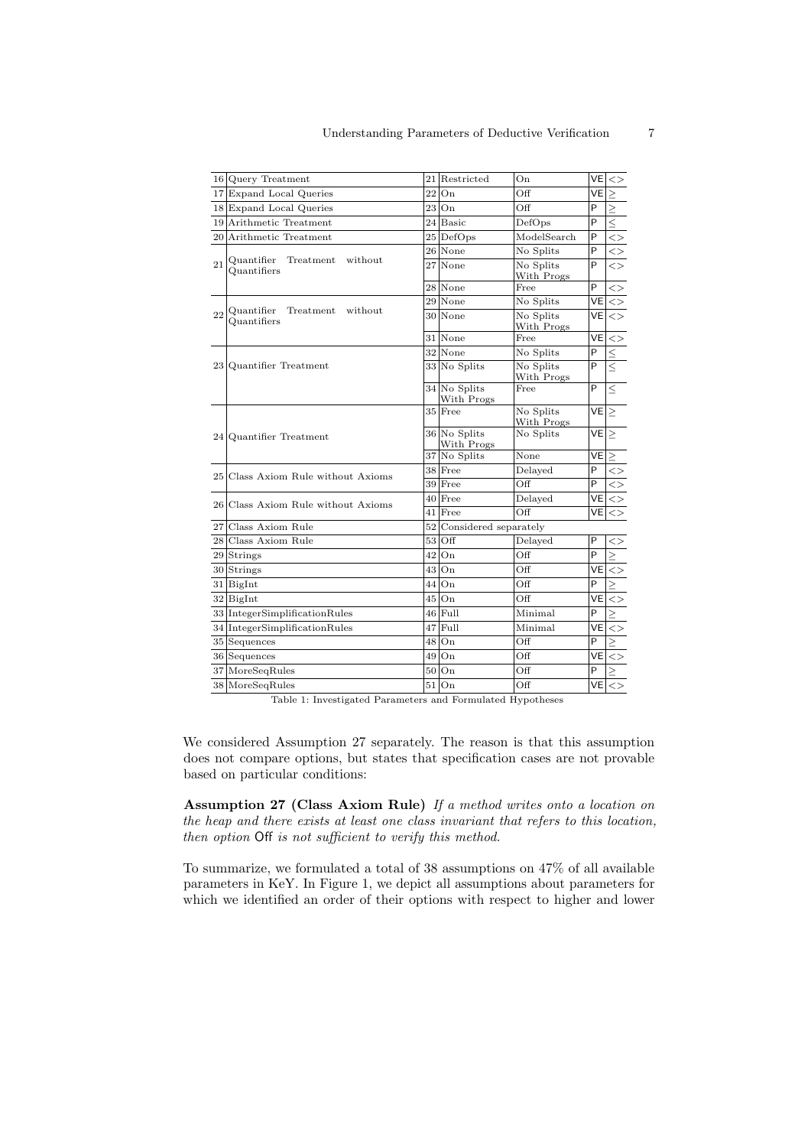|    | 16 Query Treatment                                |      | 21 Restricted                | On                      | VE        | <                                                                                  |
|----|---------------------------------------------------|------|------------------------------|-------------------------|-----------|------------------------------------------------------------------------------------|
|    | 17 Expand Local Queries                           | 22   | On                           | Off                     | <b>VE</b> | $\geq$                                                                             |
|    | 18 Expand Local Queries                           | 23   | On                           | Off                     | P         | $\frac{1}{\sqrt{2}}\sqrt{\frac{ \nabla\mathbf{1} }{ \nabla\mathbf{1} }}\mathbf{1}$ |
|    | 19 Arithmetic Treatment                           |      | 24 Basic                     | DefOps                  | P         |                                                                                    |
|    | 20 Arithmetic Treatment                           |      | $25 $ DefOps                 | ModelSearch             | P         |                                                                                    |
|    | Quantifier<br>Treatment<br>without<br>Quantifiers |      | 26 None                      | No Splits               | P         | $\lt$                                                                              |
| 21 |                                                   |      | 27 None                      | No Splits<br>With Progs | P         | $\lt$                                                                              |
|    |                                                   |      | $28$ None                    | Free                    | P         | $\lt$                                                                              |
|    | Quantifier<br>Treatment<br>without<br>Quantifiers |      | 29 None                      | No Splits               | <b>VE</b> | $\hat{~}$                                                                          |
| 22 |                                                   |      | $30$ None                    | No Splits<br>With Progs | VE        | $\lt$                                                                              |
|    |                                                   |      | $31$ None                    | Free                    | <b>VE</b> | $\lt$                                                                              |
|    |                                                   |      | $32$ None                    | No Splits               | P         | $\leq$                                                                             |
|    | 23 Quantifier Treatment                           |      | 33 No Splits                 | No Splits<br>With Progs | P         |                                                                                    |
|    |                                                   |      | 34 No Splits<br>With Progs   | Free                    | P         | $\leq$                                                                             |
|    |                                                   |      | $35$ Free                    | No Splits<br>With Progs | $VE \ge$  |                                                                                    |
|    | 24 Quantifier Treatment                           |      | $36$ No Splits<br>With Progs | No Splits               | $VE \ge$  |                                                                                    |
|    |                                                   |      | $37$ No Splits               | None                    | VE.       | $\geq$                                                                             |
|    | 25 Class Axiom Rule without Axioms                |      | $38$ Free                    | Delayed                 | P         | $\lt$                                                                              |
|    |                                                   |      | 39 Free                      | Off                     | P         | $\lt$                                                                              |
|    | 26 Class Axiom Rule without Axioms                |      | 40 Free                      | Delayed                 | VE        | $\lt$                                                                              |
|    |                                                   |      | $41$ Free                    | Off                     | VE        | <                                                                                  |
|    | 27 Class Axiom Rule                               |      | 52 Considered separately     |                         |           |                                                                                    |
|    | 28 Class Axiom Rule                               | 53   | Off                          | Delayed                 | P         | <                                                                                  |
|    | 29 Strings                                        | 42   | On                           | Off                     | P         | $\geq$                                                                             |
|    | $30$ Strings                                      | 43   | On                           | Off                     | <b>VE</b> | $\lt$                                                                              |
|    | 31 BigInt                                         | 44   | On                           | Off                     | P         | $\geq$                                                                             |
|    | 32 BigInt                                         | 45   | On                           | Off                     | VE        | $\lt$                                                                              |
|    | 33 IntegerSimplificationRules                     |      | 46 Full                      | Minimal                 | P         | $\geq$                                                                             |
|    | 34 IntegerSimplificationRules                     |      | $47$ Full                    | Minimal                 | VE        | $\overline{\Leftrightarrow}$                                                       |
|    | $35$ Sequences                                    | 48   | On                           | Off                     | P         | $\geq$                                                                             |
|    | $36$ Sequences                                    | 49   | On                           | Off                     | VE        | $\lt$                                                                              |
|    | 37 MoreSeqRules                                   | 50   | On                           | Off                     | P         | ≥                                                                                  |
|    | 38 MoreSeqRules                                   | 51 I | On                           | Off                     | VE        | $\lt$                                                                              |

Table 1: Investigated Parameters and Formulated Hypotheses

We considered Assumption 27 separately. The reason is that this assumption does not compare options, but states that specification cases are not provable based on particular conditions:

Assumption 27 (Class Axiom Rule) If a method writes onto a location on the heap and there exists at least one class invariant that refers to this location, then option Off is not sufficient to verify this method.

To summarize, we formulated a total of 38 assumptions on 47% of all available parameters in KeY. In Figure 1, we depict all assumptions about parameters for which we identified an order of their options with respect to higher and lower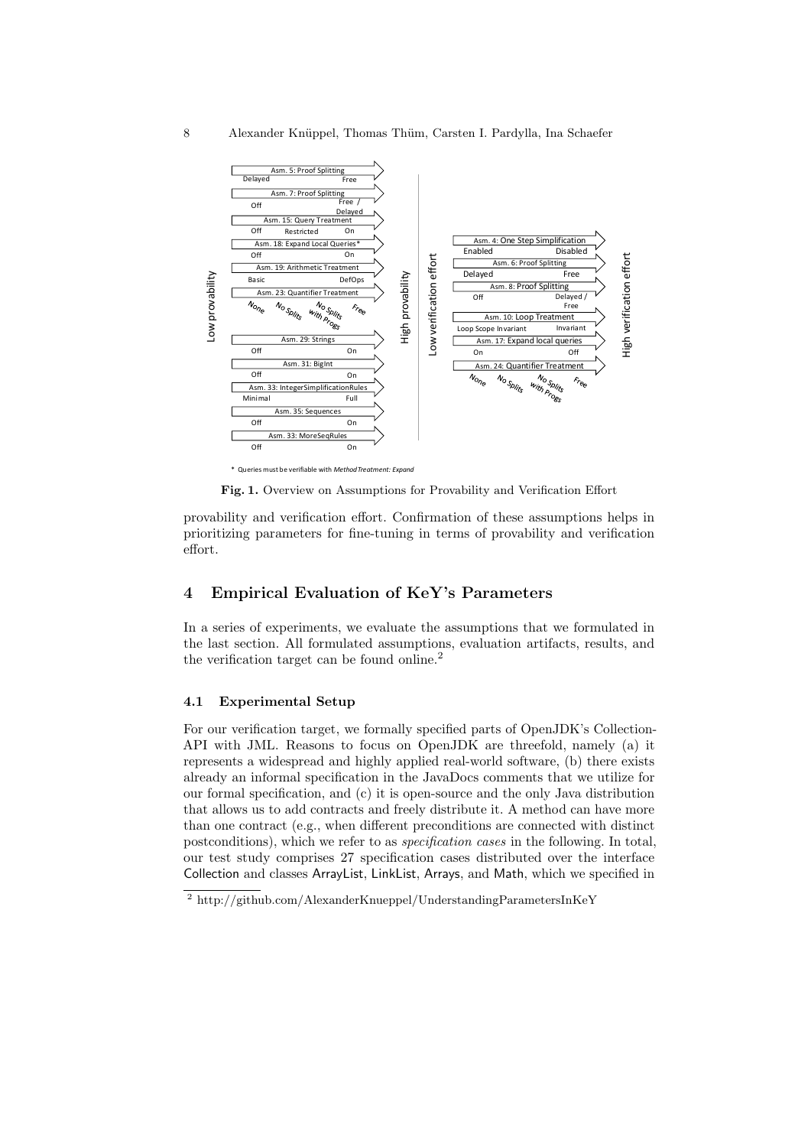

Fig. 1. Overview on Assumptions for Provability and Verification Effort

provability and verification effort. Confirmation of these assumptions helps in prioritizing parameters for fine-tuning in terms of provability and verification effort.

# 4 Empirical Evaluation of KeY's Parameters

In a series of experiments, we evaluate the assumptions that we formulated in the last section. All formulated assumptions, evaluation artifacts, results, and the verification target can be found online.<sup>2</sup>

## 4.1 Experimental Setup

For our verification target, we formally specified parts of OpenJDK's Collection-API with JML. Reasons to focus on OpenJDK are threefold, namely (a) it represents a widespread and highly applied real-world software, (b) there exists already an informal specification in the JavaDocs comments that we utilize for our formal specification, and (c) it is open-source and the only Java distribution that allows us to add contracts and freely distribute it. A method can have more than one contract (e.g., when different preconditions are connected with distinct postconditions), which we refer to as specification cases in the following. In total, our test study comprises 27 specification cases distributed over the interface Collection and classes ArrayList, LinkList, Arrays, and Math, which we specified in

 $^{\rm 2}$ http://github.com/AlexanderKnueppel/UnderstandingParametersInKeY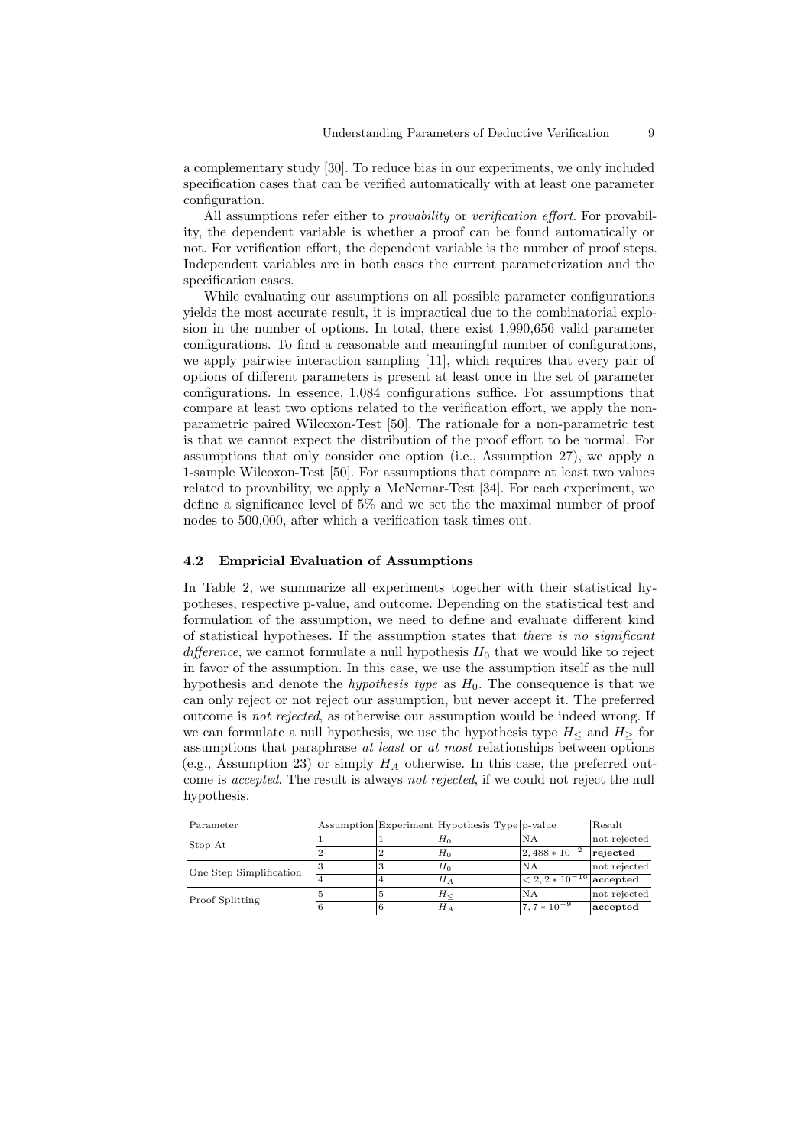a complementary study [30]. To reduce bias in our experiments, we only included specification cases that can be verified automatically with at least one parameter configuration.

All assumptions refer either to *provability* or *verification effort*. For provability, the dependent variable is whether a proof can be found automatically or not. For verification effort, the dependent variable is the number of proof steps. Independent variables are in both cases the current parameterization and the specification cases.

While evaluating our assumptions on all possible parameter configurations yields the most accurate result, it is impractical due to the combinatorial explosion in the number of options. In total, there exist 1,990,656 valid parameter configurations. To find a reasonable and meaningful number of configurations, we apply pairwise interaction sampling [11], which requires that every pair of options of different parameters is present at least once in the set of parameter configurations. In essence, 1,084 configurations suffice. For assumptions that compare at least two options related to the verification effort, we apply the nonparametric paired Wilcoxon-Test [50]. The rationale for a non-parametric test is that we cannot expect the distribution of the proof effort to be normal. For assumptions that only consider one option (i.e., Assumption 27), we apply a 1-sample Wilcoxon-Test [50]. For assumptions that compare at least two values related to provability, we apply a McNemar-Test [34]. For each experiment, we define a significance level of 5% and we set the the maximal number of proof nodes to 500,000, after which a verification task times out.

### 4.2 Empricial Evaluation of Assumptions

In Table 2, we summarize all experiments together with their statistical hypotheses, respective p-value, and outcome. Depending on the statistical test and formulation of the assumption, we need to define and evaluate different kind of statistical hypotheses. If the assumption states that there is no significant difference, we cannot formulate a null hypothesis  $H_0$  that we would like to reject in favor of the assumption. In this case, we use the assumption itself as the null hypothesis and denote the *hypothesis type* as  $H_0$ . The consequence is that we can only reject or not reject our assumption, but never accept it. The preferred outcome is not rejected, as otherwise our assumption would be indeed wrong. If we can formulate a null hypothesis, we use the hypothesis type  $H<sub>≤</sub>$  and  $H<sub>></sub>$  for assumptions that paraphrase at least or at most relationships between options (e.g., Assumption 23) or simply  $H_A$  otherwise. In this case, the preferred outcome is accepted. The result is always not rejected, if we could not reject the null hypothesis.

| Parameter               |  | Assumption Experiment Hypothesis Type p-value |                             | Result       |
|-------------------------|--|-----------------------------------------------|-----------------------------|--------------|
| Stop At                 |  | $H_0$                                         | ΝA                          | not rejected |
|                         |  | $H_0$                                         | $12,488 * 10^{-2}$          | rejected     |
| One Step Simplification |  | $H_0$                                         | ΝA                          | not rejected |
|                         |  | $H_A$                                         | $< 2.2 * 10^{-16}$ accepted |              |
| Proof Splitting         |  | H~                                            | ΝA                          | not rejected |
|                         |  | $H_A$                                         | $17.7 * 10^{-9}$            | accepted     |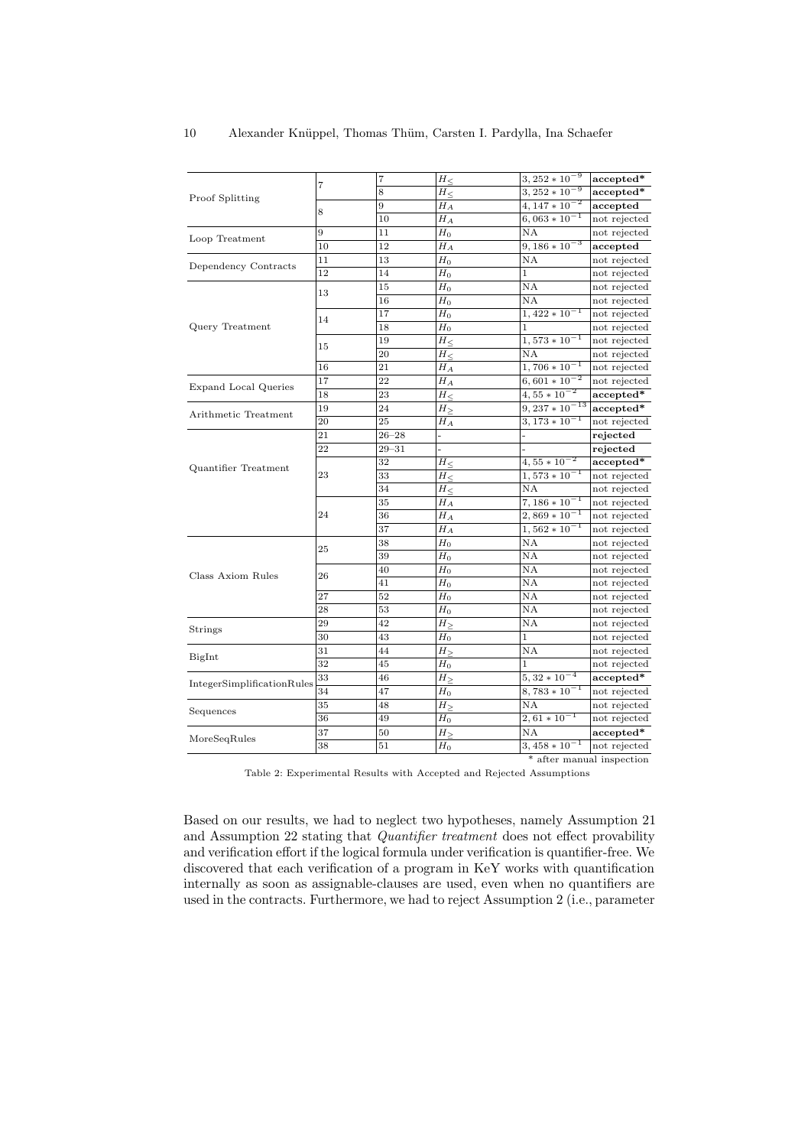|                             |    | $\overline{7}$  | $H\!<$         | $3,252 * 10^{-9}$         | $\overline{\text{accepted*}}$                            |
|-----------------------------|----|-----------------|----------------|---------------------------|----------------------------------------------------------|
|                             | 7  | 8               | H<             | $3,252 * 10^{-9}$         | $accepted*$                                              |
| Proof Splitting             | 8  | 9               | $H_A$          | $4,147*10^{-2}$           | accepted                                                 |
|                             |    | 10              | $H_A$          | $6,063 * 10^{-1}$         | not rejected                                             |
|                             | 9  | 11              | $H_0$          | NA                        | not rejected                                             |
| Loop Treatment              | 10 | 12              | $H_A$          | $9,186 * 10^{-3}$         | accepted                                                 |
|                             | 11 | 13              | $H_0$          | NΑ                        | not rejected                                             |
| Dependency Contracts        | 12 | 14              | $H_0$          | $\mathbf{1}$              | not rejected                                             |
|                             | 13 | 15              | $H_0$          | NA                        | not rejected                                             |
|                             |    | 16              | $H_0$          | NA                        | not rejected                                             |
|                             |    | 17              | $H_0$          | $1,422 * 10^{-1}$         | not rejected                                             |
| Query Treatment             | 14 | 18              | $H_0$          | 1                         | not rejected                                             |
|                             |    | 19              | H <sub>1</sub> | $1,573 * 10^{-1}$         | not rejected                                             |
|                             | 15 | 20              | H<             | NA                        | not rejected                                             |
|                             | 16 | 21              | $H_A$          | $1,706 * 10^{-1}$         | not rejected                                             |
|                             | 17 | 22              | $H_A$          | $6,601 * 10^{-2}$         | not rejected                                             |
| <b>Expand Local Queries</b> | 18 | 23              | H<             | $4,55*10^{-2}$            | $accepted*$                                              |
|                             | 19 | 24              | H >            | $9,237 * 10^{-13}$        | $accepted*$                                              |
| Arithmetic Treatment        | 20 | 25              | $H_A$          | $3,173 * 10^{-1}$         | not rejected                                             |
|                             | 21 | $26 - 28$       | $\overline{a}$ | L,                        | rejected                                                 |
|                             | 22 | $29 - 31$       | $\overline{a}$ |                           | rejected                                                 |
|                             |    | 32              | H<             | $4,55*10^{-2}$            | $accepted*$                                              |
| Quantifier Treatment        | 23 | $\overline{33}$ | H<             | $1,573 * 10^{-1}$         | not rejected                                             |
|                             |    | 34              | H<             | NA                        | $\operatorname*{not}% \mathcal{M}_{\mathbb{C}}$ rejected |
|                             |    | 35              | $H_A$          | $7,186 * 10^{-1}$         | not rejected                                             |
|                             | 24 | 36              | $H_A$          | $2,869 * 10^{-1}$         | not rejected                                             |
|                             |    | 37              | $H_A$          | $1,562 * 10^{-1}$         | not rejected                                             |
|                             |    | 38              | $H_0$          | NA                        | not rejected                                             |
|                             | 25 | 39              | $H_0$          | NA                        | not rejected                                             |
|                             |    | 40              | $H_0$          | NA                        | not rejected                                             |
| Class Axiom Rules           | 26 | 41              | $H_0$          | NA                        | not rejected                                             |
|                             | 27 | 52              | $H_0$          | NA                        | not rejected                                             |
|                             | 28 | 53              | $H_0$          | ΝA                        | not rejected                                             |
|                             | 29 | 42              | $H_{>}$        | NA                        | not rejected                                             |
| Strings                     | 30 | 43              | $H_0$          | $\mathbf{1}$              | not rejected                                             |
|                             | 31 | 44              | $H_{>}$        | NA                        | not rejected                                             |
| BigInt                      | 32 | 45              | $H_0$          | 1                         | not rejected                                             |
|                             | 33 | 46              | $H_{>}$        | $5,32*10^{-4}$            | $accepted*$                                              |
| IntegerSimplificationRules  | 34 | 47              | $H_0$          | $8,783*10^{-1}$           | not rejected                                             |
|                             | 35 | 48              | $H_{>}$        | NA                        | not rejected                                             |
| Sequences                   | 36 | 49              | $H_0$          | $2,61*10^{-1}$            | not rejected                                             |
|                             | 37 | 50              | $H_{>}$        | NA                        | $accepted*$                                              |
| MoreSeqRules                | 38 | 51              | $H_0$          | $3,458*10^{-1}$           | not rejected                                             |
|                             |    |                 |                | * after manual inspection |                                                          |

Table 2: Experimental Results with Accepted and Rejected Assumptions

Based on our results, we had to neglect two hypotheses, namely Assumption 21 and Assumption 22 stating that Quantifier treatment does not effect provability and verification effort if the logical formula under verification is quantifier-free. We discovered that each verification of a program in KeY works with quantification internally as soon as assignable-clauses are used, even when no quantifiers are used in the contracts. Furthermore, we had to reject Assumption 2 (i.e., parameter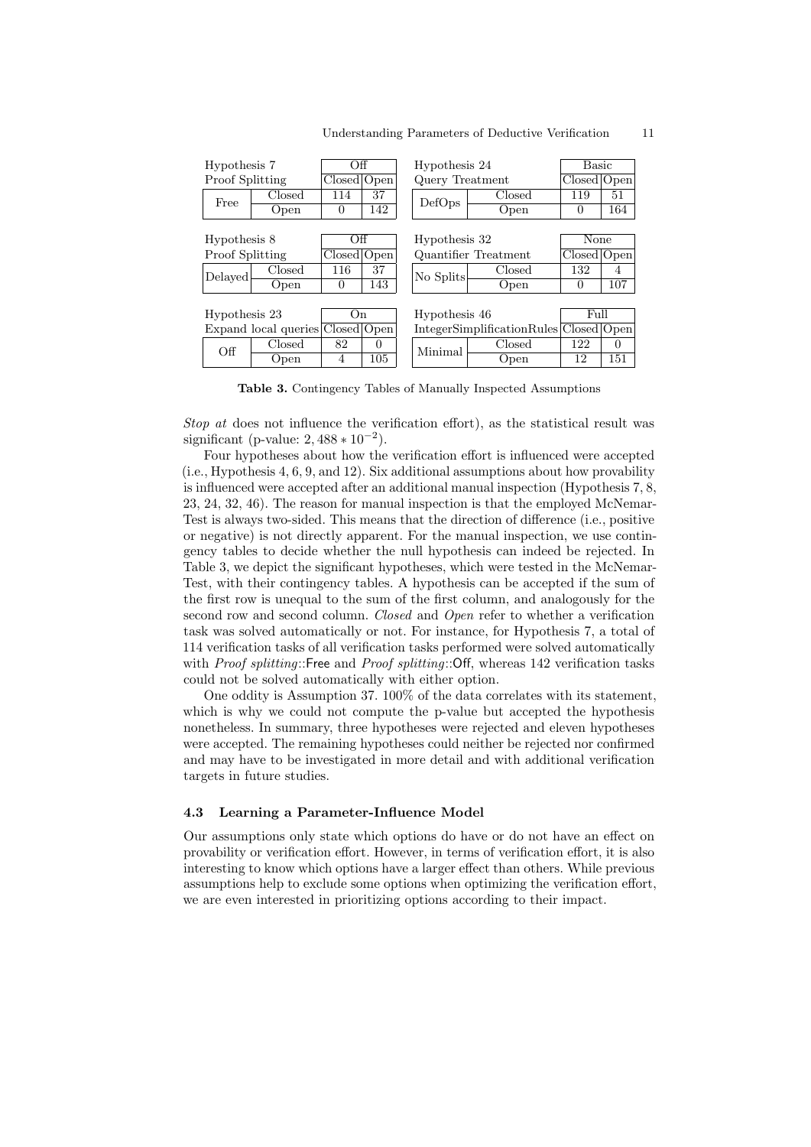| Hypothesis 7<br><b>Proof Splitting</b> |        | Оff<br>Closed   Open |     | Hypothesis 24<br>Query Treatment | <b>Basic</b><br>Closed Open            |             |              |  |  |  |
|----------------------------------------|--------|----------------------|-----|----------------------------------|----------------------------------------|-------------|--------------|--|--|--|
| Free                                   | Closed | 114                  | 37  | DefOps                           | Closed                                 | 119         | 51           |  |  |  |
|                                        | Open   | $\theta$             | 142 |                                  | Open                                   | $\Omega$    | 164          |  |  |  |
| Hypothesis 8                           |        | Оff                  |     |                                  | Hypothesis 32                          |             | None         |  |  |  |
| <b>Proof Splitting</b>                 |        | Closed Open          |     | Quantifier Treatment             |                                        | Closed Open |              |  |  |  |
| Delayed                                | Closed | 116                  | 37  | No Splits                        | Closed                                 | 132         | 4            |  |  |  |
|                                        | Open   | $\theta$             | 143 |                                  | Open                                   | $\Omega$    | 107          |  |  |  |
|                                        |        |                      |     |                                  |                                        |             |              |  |  |  |
| Hypothesis 23                          |        | On                   |     |                                  | Hypothesis 46                          |             | Full         |  |  |  |
| Expand local queries Closed Open       |        |                      |     |                                  | IntegerSimplificationRules Closed Open |             |              |  |  |  |
| Off                                    | Closed | 82                   | 0   | Minimal                          | Closed                                 | 122         | $\mathbf{0}$ |  |  |  |
|                                        | Open   | 4                    | 105 |                                  | Open                                   | 12          | 151          |  |  |  |

Table 3. Contingency Tables of Manually Inspected Assumptions

Stop at does not influence the verification effort), as the statistical result was significant (p-value:  $2,488 * 10^{-2}$ ).

Four hypotheses about how the verification effort is influenced were accepted (i.e., Hypothesis 4, 6, 9, and 12). Six additional assumptions about how provability is influenced were accepted after an additional manual inspection (Hypothesis 7, 8, 23, 24, 32, 46). The reason for manual inspection is that the employed McNemar-Test is always two-sided. This means that the direction of difference (i.e., positive or negative) is not directly apparent. For the manual inspection, we use contingency tables to decide whether the null hypothesis can indeed be rejected. In Table 3, we depict the significant hypotheses, which were tested in the McNemar-Test, with their contingency tables. A hypothesis can be accepted if the sum of the first row is unequal to the sum of the first column, and analogously for the second row and second column. *Closed* and *Open* refer to whether a verification task was solved automatically or not. For instance, for Hypothesis 7, a total of 114 verification tasks of all verification tasks performed were solved automatically with *Proof splitting*::Free and *Proof splitting*::Off, whereas 142 verification tasks could not be solved automatically with either option.

One oddity is Assumption 37. 100% of the data correlates with its statement, which is why we could not compute the p-value but accepted the hypothesis nonetheless. In summary, three hypotheses were rejected and eleven hypotheses were accepted. The remaining hypotheses could neither be rejected nor confirmed and may have to be investigated in more detail and with additional verification targets in future studies.

#### 4.3 Learning a Parameter-Influence Model

Our assumptions only state which options do have or do not have an effect on provability or verification effort. However, in terms of verification effort, it is also interesting to know which options have a larger effect than others. While previous assumptions help to exclude some options when optimizing the verification effort, we are even interested in prioritizing options according to their impact.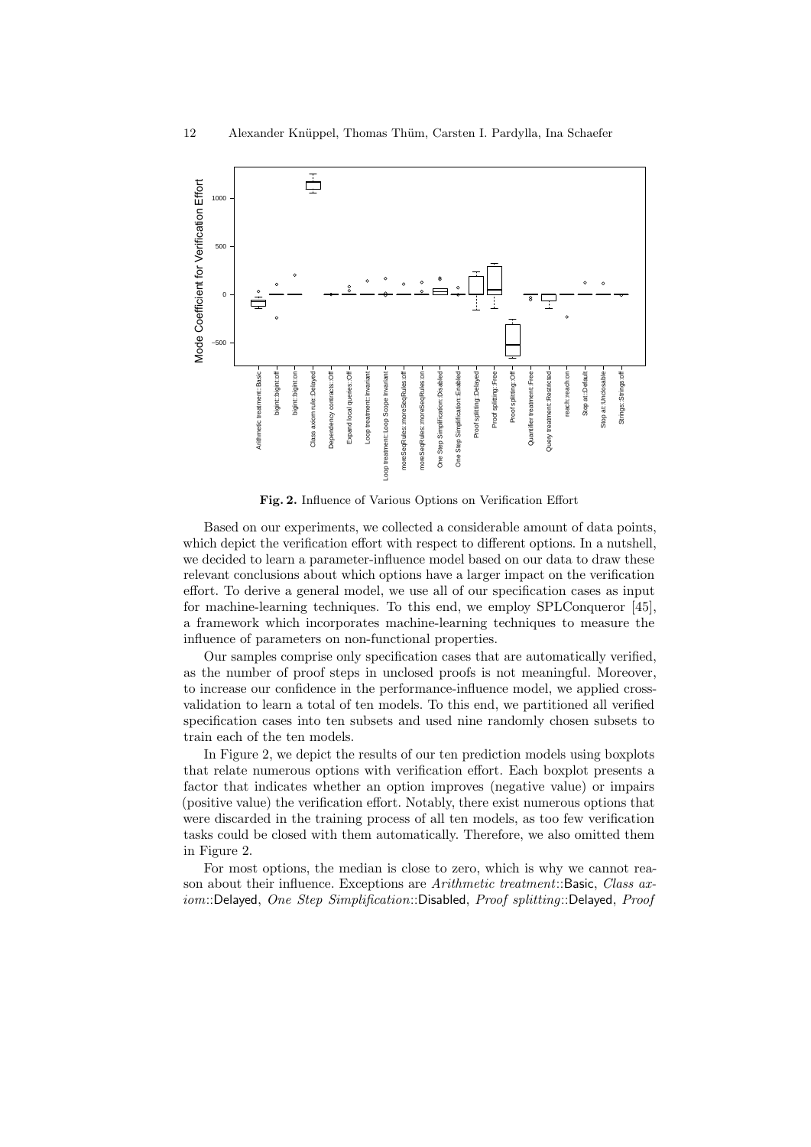

Fig. 2. Influence of Various Options on Verification Effort

Based on our experiments, we collected a considerable amount of data points, which depict the verification effort with respect to different options. In a nutshell, we decided to learn a parameter-influence model based on our data to draw these relevant conclusions about which options have a larger impact on the verification effort. To derive a general model, we use all of our specification cases as input for machine-learning techniques. To this end, we employ SPLConqueror [45], a framework which incorporates machine-learning techniques to measure the influence of parameters on non-functional properties.

Our samples comprise only specification cases that are automatically verified, as the number of proof steps in unclosed proofs is not meaningful. Moreover, to increase our confidence in the performance-influence model, we applied crossvalidation to learn a total of ten models. To this end, we partitioned all verified specification cases into ten subsets and used nine randomly chosen subsets to train each of the ten models.

In Figure 2, we depict the results of our ten prediction models using boxplots that relate numerous options with verification effort. Each boxplot presents a factor that indicates whether an option improves (negative value) or impairs (positive value) the verification effort. Notably, there exist numerous options that were discarded in the training process of all ten models, as too few verification tasks could be closed with them automatically. Therefore, we also omitted them in Figure 2.

For most options, the median is close to zero, which is why we cannot reason about their influence. Exceptions are Arithmetic treatment::Basic, Class axiom::Delayed, One Step Simplification::Disabled, Proof splitting::Delayed, Proof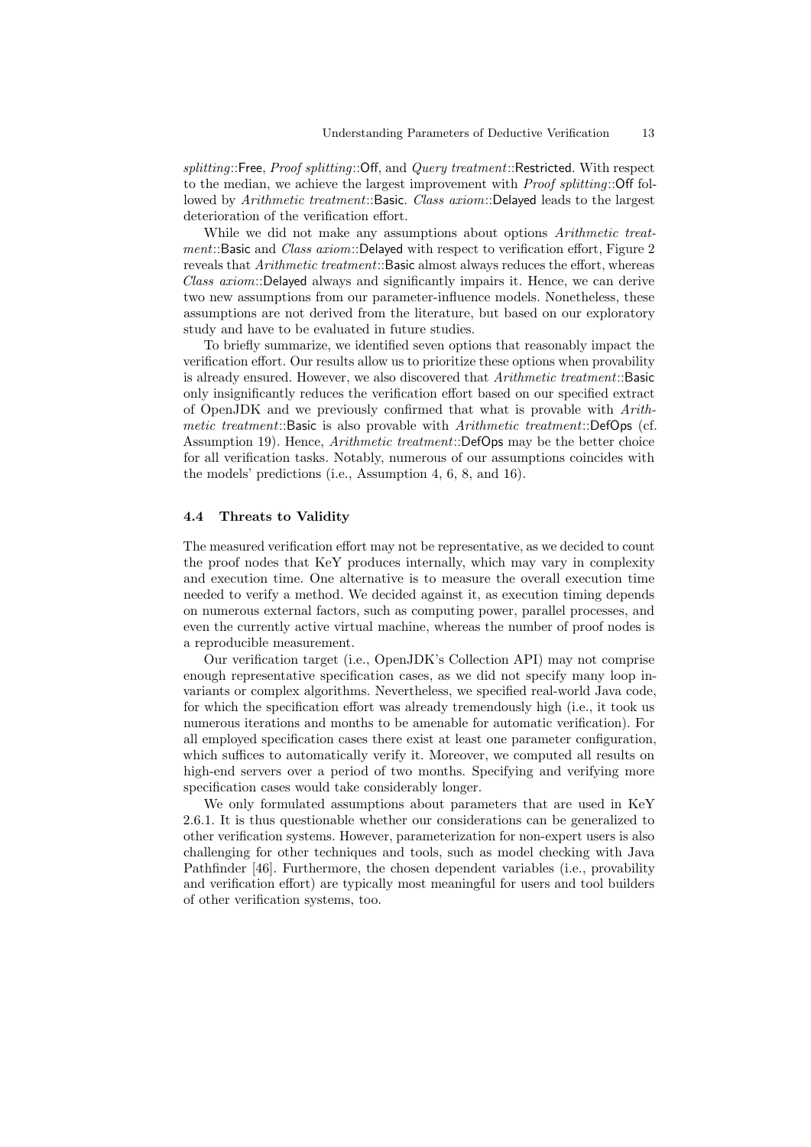splitting::Free, Proof splitting::Off, and Query treatment::Restricted. With respect to the median, we achieve the largest improvement with *Proof splitting*::Off followed by Arithmetic treatment::Basic. Class axiom::Delayed leads to the largest deterioration of the verification effort.

While we did not make any assumptions about options *Arithmetic treat*ment::Basic and Class axiom::Delayed with respect to verification effort, Figure 2 reveals that Arithmetic treatment::Basic almost always reduces the effort, whereas Class axiom::Delayed always and significantly impairs it. Hence, we can derive two new assumptions from our parameter-influence models. Nonetheless, these assumptions are not derived from the literature, but based on our exploratory study and have to be evaluated in future studies.

To briefly summarize, we identified seven options that reasonably impact the verification effort. Our results allow us to prioritize these options when provability is already ensured. However, we also discovered that Arithmetic treatment::Basic only insignificantly reduces the verification effort based on our specified extract of OpenJDK and we previously confirmed that what is provable with Arithmetic treatment::Basic is also provable with Arithmetic treatment::DefOps (cf. Assumption 19). Hence, Arithmetic treatment::DefOps may be the better choice for all verification tasks. Notably, numerous of our assumptions coincides with the models' predictions (i.e., Assumption 4, 6, 8, and 16).

# 4.4 Threats to Validity

The measured verification effort may not be representative, as we decided to count the proof nodes that KeY produces internally, which may vary in complexity and execution time. One alternative is to measure the overall execution time needed to verify a method. We decided against it, as execution timing depends on numerous external factors, such as computing power, parallel processes, and even the currently active virtual machine, whereas the number of proof nodes is a reproducible measurement.

Our verification target (i.e., OpenJDK's Collection API) may not comprise enough representative specification cases, as we did not specify many loop invariants or complex algorithms. Nevertheless, we specified real-world Java code, for which the specification effort was already tremendously high (i.e., it took us numerous iterations and months to be amenable for automatic verification). For all employed specification cases there exist at least one parameter configuration, which suffices to automatically verify it. Moreover, we computed all results on high-end servers over a period of two months. Specifying and verifying more specification cases would take considerably longer.

We only formulated assumptions about parameters that are used in KeY 2.6.1. It is thus questionable whether our considerations can be generalized to other verification systems. However, parameterization for non-expert users is also challenging for other techniques and tools, such as model checking with Java Pathfinder [46]. Furthermore, the chosen dependent variables (i.e., provability and verification effort) are typically most meaningful for users and tool builders of other verification systems, too.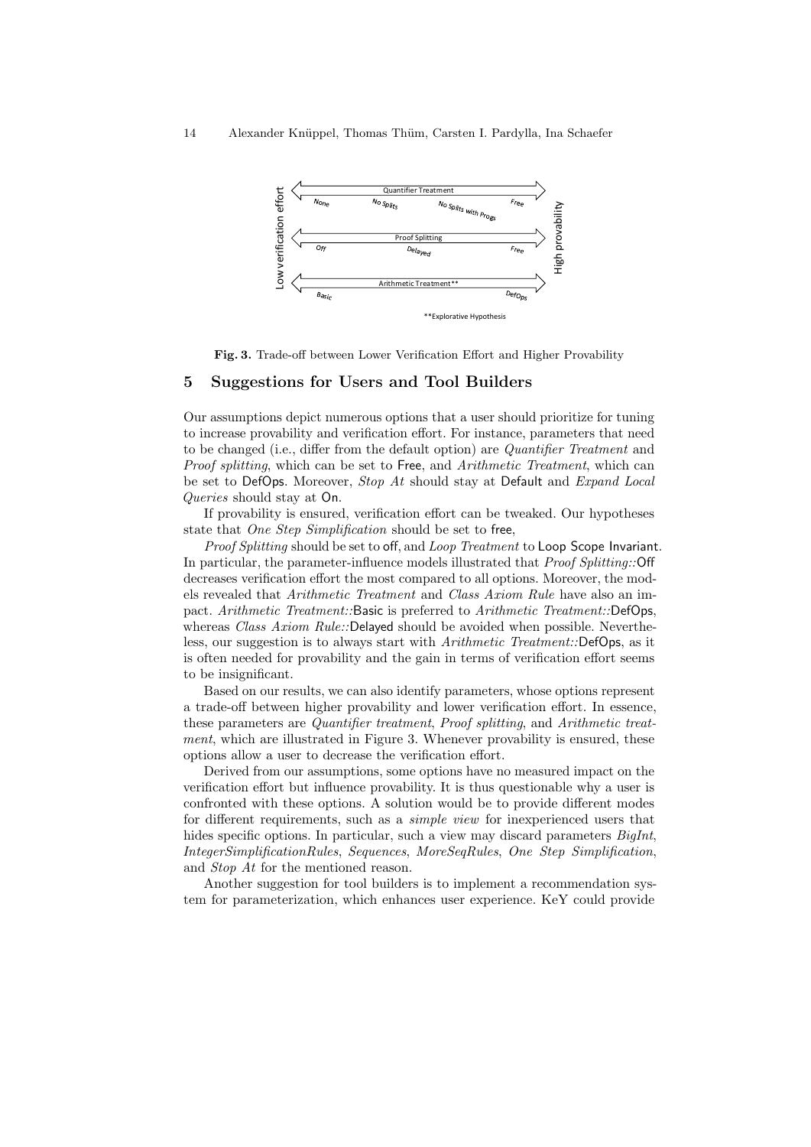

Fig. 3. Trade-off between Lower Verification Effort and Higher Provability

### 5 Suggestions for Users and Tool Builders

Our assumptions depict numerous options that a user should prioritize for tuning to increase provability and verification effort. For instance, parameters that need to be changed (i.e., differ from the default option) are Quantifier Treatment and Proof splitting, which can be set to Free, and Arithmetic Treatment, which can be set to DefOps. Moreover, Stop At should stay at Default and Expand Local Queries should stay at On.

If provability is ensured, verification effort can be tweaked. Our hypotheses state that One Step Simplification should be set to free,

Proof Splitting should be set to off, and Loop Treatment to Loop Scope Invariant. In particular, the parameter-influence models illustrated that *Proof Splitting*::Off decreases verification effort the most compared to all options. Moreover, the models revealed that Arithmetic Treatment and Class Axiom Rule have also an impact. Arithmetic Treatment::Basic is preferred to Arithmetic Treatment::DefOps, whereas *Class Axiom Rule::Delayed* should be avoided when possible. Nevertheless, our suggestion is to always start with Arithmetic Treatment::DefOps, as it is often needed for provability and the gain in terms of verification effort seems to be insignificant.

Based on our results, we can also identify parameters, whose options represent a trade-off between higher provability and lower verification effort. In essence, these parameters are Quantifier treatment, Proof splitting, and Arithmetic treatment, which are illustrated in Figure 3. Whenever provability is ensured, these options allow a user to decrease the verification effort.

Derived from our assumptions, some options have no measured impact on the verification effort but influence provability. It is thus questionable why a user is confronted with these options. A solution would be to provide different modes for different requirements, such as a simple view for inexperienced users that hides specific options. In particular, such a view may discard parameters  $BigInt$ , IntegerSimplificationRules, Sequences, MoreSeqRules, One Step Simplification, and Stop At for the mentioned reason.

Another suggestion for tool builders is to implement a recommendation system for parameterization, which enhances user experience. KeY could provide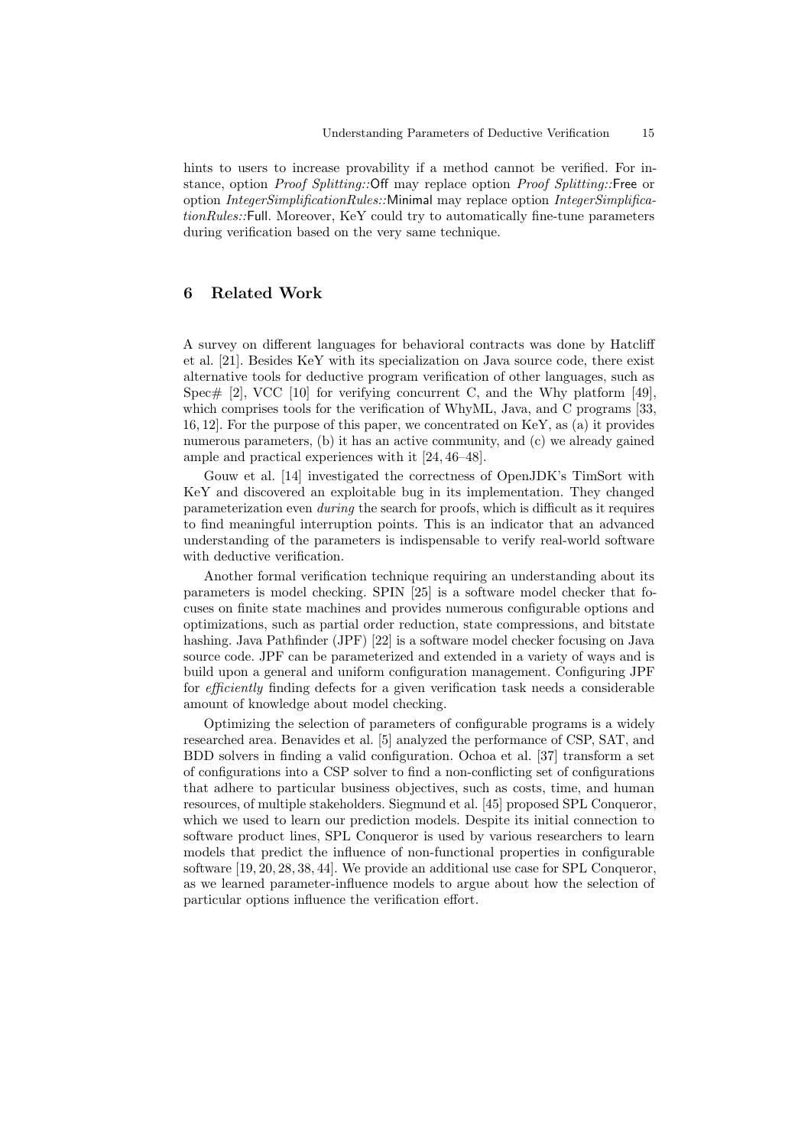hints to users to increase provability if a method cannot be verified. For instance, option *Proof Splitting*::Off may replace option *Proof Splitting*::Free or option IntegerSimplificationRules::Minimal may replace option IntegerSimplificationRules::Full. Moreover, KeY could try to automatically fine-tune parameters during verification based on the very same technique.

# 6 Related Work

A survey on different languages for behavioral contracts was done by Hatcliff et al. [21]. Besides KeY with its specialization on Java source code, there exist alternative tools for deductive program verification of other languages, such as Spec#  $[2]$ , VCC  $[10]$  for verifying concurrent C, and the Why platform  $[49]$ , which comprises tools for the verification of WhyML, Java, and C programs [33, 16, 12]. For the purpose of this paper, we concentrated on KeY, as (a) it provides numerous parameters, (b) it has an active community, and (c) we already gained ample and practical experiences with it [24, 46–48].

Gouw et al. [14] investigated the correctness of OpenJDK's TimSort with KeY and discovered an exploitable bug in its implementation. They changed parameterization even during the search for proofs, which is difficult as it requires to find meaningful interruption points. This is an indicator that an advanced understanding of the parameters is indispensable to verify real-world software with deductive verification.

Another formal verification technique requiring an understanding about its parameters is model checking. SPIN [25] is a software model checker that focuses on finite state machines and provides numerous configurable options and optimizations, such as partial order reduction, state compressions, and bitstate hashing. Java Pathfinder (JPF) [22] is a software model checker focusing on Java source code. JPF can be parameterized and extended in a variety of ways and is build upon a general and uniform configuration management. Configuring JPF for efficiently finding defects for a given verification task needs a considerable amount of knowledge about model checking.

Optimizing the selection of parameters of configurable programs is a widely researched area. Benavides et al. [5] analyzed the performance of CSP, SAT, and BDD solvers in finding a valid configuration. Ochoa et al. [37] transform a set of configurations into a CSP solver to find a non-conflicting set of configurations that adhere to particular business objectives, such as costs, time, and human resources, of multiple stakeholders. Siegmund et al. [45] proposed SPL Conqueror, which we used to learn our prediction models. Despite its initial connection to software product lines, SPL Conqueror is used by various researchers to learn models that predict the influence of non-functional properties in configurable software [19, 20, 28, 38, 44]. We provide an additional use case for SPL Conqueror, as we learned parameter-influence models to argue about how the selection of particular options influence the verification effort.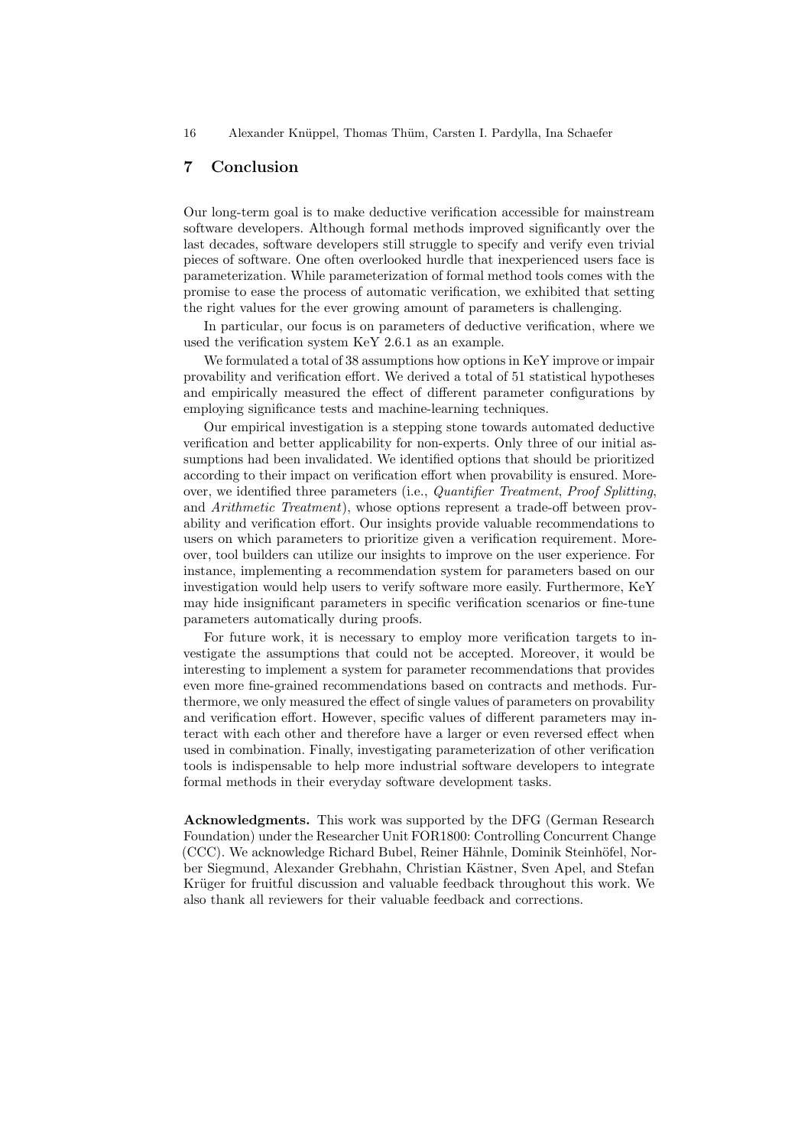16 Alexander Knüppel, Thomas Thüm, Carsten I. Pardylla, Ina Schaefer

# 7 Conclusion

Our long-term goal is to make deductive verification accessible for mainstream software developers. Although formal methods improved significantly over the last decades, software developers still struggle to specify and verify even trivial pieces of software. One often overlooked hurdle that inexperienced users face is parameterization. While parameterization of formal method tools comes with the promise to ease the process of automatic verification, we exhibited that setting the right values for the ever growing amount of parameters is challenging.

In particular, our focus is on parameters of deductive verification, where we used the verification system KeY 2.6.1 as an example.

We formulated a total of 38 assumptions how options in KeY improve or impair provability and verification effort. We derived a total of 51 statistical hypotheses and empirically measured the effect of different parameter configurations by employing significance tests and machine-learning techniques.

Our empirical investigation is a stepping stone towards automated deductive verification and better applicability for non-experts. Only three of our initial assumptions had been invalidated. We identified options that should be prioritized according to their impact on verification effort when provability is ensured. Moreover, we identified three parameters (i.e., Quantifier Treatment, Proof Splitting, and Arithmetic Treatment), whose options represent a trade-off between provability and verification effort. Our insights provide valuable recommendations to users on which parameters to prioritize given a verification requirement. Moreover, tool builders can utilize our insights to improve on the user experience. For instance, implementing a recommendation system for parameters based on our investigation would help users to verify software more easily. Furthermore, KeY may hide insignificant parameters in specific verification scenarios or fine-tune parameters automatically during proofs.

For future work, it is necessary to employ more verification targets to investigate the assumptions that could not be accepted. Moreover, it would be interesting to implement a system for parameter recommendations that provides even more fine-grained recommendations based on contracts and methods. Furthermore, we only measured the effect of single values of parameters on provability and verification effort. However, specific values of different parameters may interact with each other and therefore have a larger or even reversed effect when used in combination. Finally, investigating parameterization of other verification tools is indispensable to help more industrial software developers to integrate formal methods in their everyday software development tasks.

Acknowledgments. This work was supported by the DFG (German Research Foundation) under the Researcher Unit FOR1800: Controlling Concurrent Change (CCC). We acknowledge Richard Bubel, Reiner Hähnle, Dominik Steinhöfel, Norber Siegmund, Alexander Grebhahn, Christian Kästner, Sven Apel, and Stefan Krüger for fruitful discussion and valuable feedback throughout this work. We also thank all reviewers for their valuable feedback and corrections.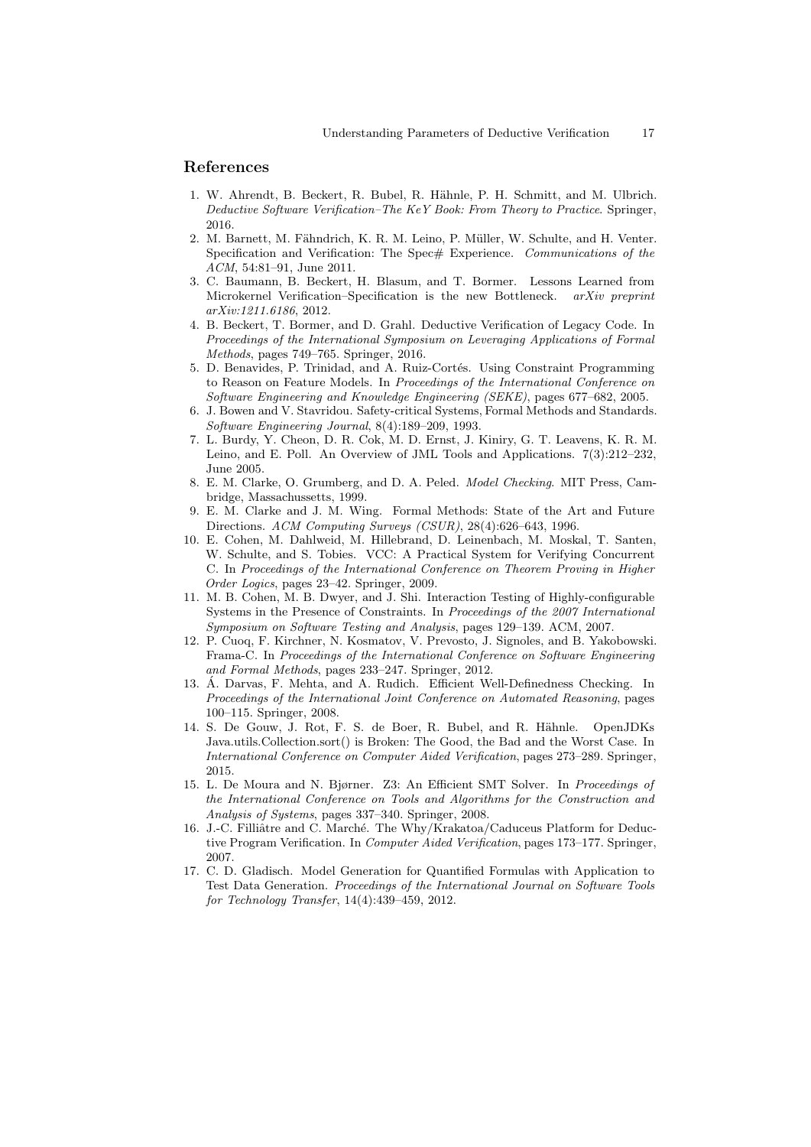## References

- 1. W. Ahrendt, B. Beckert, R. Bubel, R. H¨ahnle, P. H. Schmitt, and M. Ulbrich. Deductive Software Verification–The KeY Book: From Theory to Practice. Springer, 2016.
- 2. M. Barnett, M. Fähndrich, K. R. M. Leino, P. Müller, W. Schulte, and H. Venter. Specification and Verification: The Spec# Experience. Communications of the ACM, 54:81–91, June 2011.
- 3. C. Baumann, B. Beckert, H. Blasum, and T. Bormer. Lessons Learned from Microkernel Verification–Specification is the new Bottleneck. arXiv preprint arXiv:1211.6186, 2012.
- 4. B. Beckert, T. Bormer, and D. Grahl. Deductive Verification of Legacy Code. In Proceedings of the International Symposium on Leveraging Applications of Formal Methods, pages 749–765. Springer, 2016.
- 5. D. Benavides, P. Trinidad, and A. Ruiz-Cortés. Using Constraint Programming to Reason on Feature Models. In Proceedings of the International Conference on Software Engineering and Knowledge Engineering (SEKE), pages 677–682, 2005.
- 6. J. Bowen and V. Stavridou. Safety-critical Systems, Formal Methods and Standards. Software Engineering Journal, 8(4):189–209, 1993.
- 7. L. Burdy, Y. Cheon, D. R. Cok, M. D. Ernst, J. Kiniry, G. T. Leavens, K. R. M. Leino, and E. Poll. An Overview of JML Tools and Applications. 7(3):212–232, June 2005.
- 8. E. M. Clarke, O. Grumberg, and D. A. Peled. Model Checking. MIT Press, Cambridge, Massachussetts, 1999.
- 9. E. M. Clarke and J. M. Wing. Formal Methods: State of the Art and Future Directions. ACM Computing Surveys (CSUR), 28(4):626–643, 1996.
- 10. E. Cohen, M. Dahlweid, M. Hillebrand, D. Leinenbach, M. Moskal, T. Santen, W. Schulte, and S. Tobies. VCC: A Practical System for Verifying Concurrent C. In Proceedings of the International Conference on Theorem Proving in Higher Order Logics, pages 23–42. Springer, 2009.
- 11. M. B. Cohen, M. B. Dwyer, and J. Shi. Interaction Testing of Highly-configurable Systems in the Presence of Constraints. In Proceedings of the 2007 International Symposium on Software Testing and Analysis, pages 129–139. ACM, 2007.
- 12. P. Cuoq, F. Kirchner, N. Kosmatov, V. Prevosto, J. Signoles, and B. Yakobowski. Frama-C. In Proceedings of the International Conference on Software Engineering and Formal Methods, pages 233–247. Springer, 2012.
- 13. A. Darvas, F. Mehta, and A. Rudich. Efficient Well-Definedness Checking. In ´ Proceedings of the International Joint Conference on Automated Reasoning, pages 100–115. Springer, 2008.
- 14. S. De Gouw, J. Rot, F. S. de Boer, R. Bubel, and R. Hähnle. OpenJDKs Java.utils.Collection.sort() is Broken: The Good, the Bad and the Worst Case. In International Conference on Computer Aided Verification, pages 273–289. Springer, 2015.
- 15. L. De Moura and N. Bjørner. Z3: An Efficient SMT Solver. In Proceedings of the International Conference on Tools and Algorithms for the Construction and Analysis of Systems, pages 337–340. Springer, 2008.
- 16. J.-C. Filliâtre and C. Marché. The Why/Krakatoa/Caduceus Platform for Deductive Program Verification. In Computer Aided Verification, pages 173–177. Springer, 2007.
- 17. C. D. Gladisch. Model Generation for Quantified Formulas with Application to Test Data Generation. Proceedings of the International Journal on Software Tools for Technology Transfer, 14(4):439–459, 2012.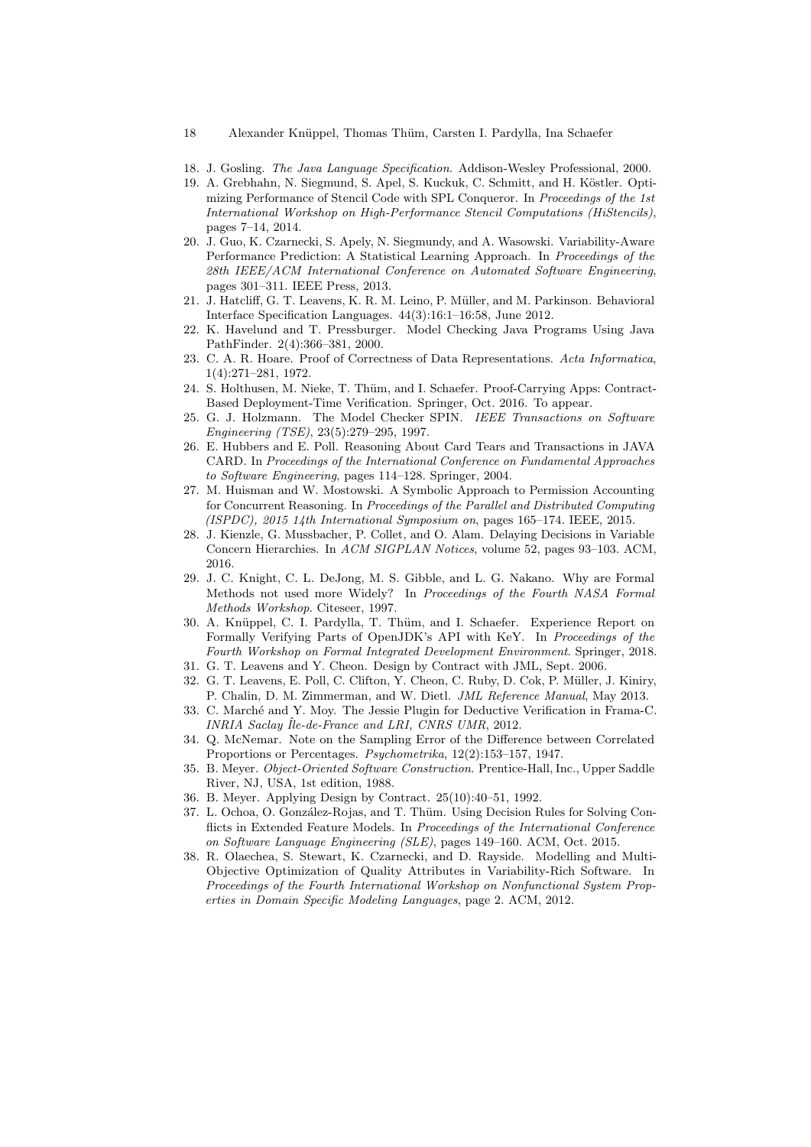- 18 Alexander Knüppel, Thomas Thüm, Carsten I. Pardylla, Ina Schaefer
- 18. J. Gosling. The Java Language Specification. Addison-Wesley Professional, 2000.
- 19. A. Grebhahn, N. Siegmund, S. Apel, S. Kuckuk, C. Schmitt, and H. Köstler. Optimizing Performance of Stencil Code with SPL Conqueror. In Proceedings of the 1st International Workshop on High-Performance Stencil Computations (HiStencils), pages 7–14, 2014.
- 20. J. Guo, K. Czarnecki, S. Apely, N. Siegmundy, and A. Wasowski. Variability-Aware Performance Prediction: A Statistical Learning Approach. In Proceedings of the 28th IEEE/ACM International Conference on Automated Software Engineering, pages 301–311. IEEE Press, 2013.
- 21. J. Hatcliff, G. T. Leavens, K. R. M. Leino, P. M¨uller, and M. Parkinson. Behavioral Interface Specification Languages. 44(3):16:1–16:58, June 2012.
- 22. K. Havelund and T. Pressburger. Model Checking Java Programs Using Java PathFinder. 2(4):366–381, 2000.
- 23. C. A. R. Hoare. Proof of Correctness of Data Representations. Acta Informatica, 1(4):271–281, 1972.
- 24. S. Holthusen, M. Nieke, T. Thüm, and I. Schaefer. Proof-Carrying Apps: Contract-Based Deployment-Time Verification. Springer, Oct. 2016. To appear.
- 25. G. J. Holzmann. The Model Checker SPIN. IEEE Transactions on Software Engineering (TSE), 23(5):279–295, 1997.
- 26. E. Hubbers and E. Poll. Reasoning About Card Tears and Transactions in JAVA CARD. In Proceedings of the International Conference on Fundamental Approaches to Software Engineering, pages 114–128. Springer, 2004.
- 27. M. Huisman and W. Mostowski. A Symbolic Approach to Permission Accounting for Concurrent Reasoning. In Proceedings of the Parallel and Distributed Computing (ISPDC), 2015 14th International Symposium on, pages  $165-174$ . IEEE, 2015.
- 28. J. Kienzle, G. Mussbacher, P. Collet, and O. Alam. Delaying Decisions in Variable Concern Hierarchies. In ACM SIGPLAN Notices, volume 52, pages 93–103. ACM, 2016.
- 29. J. C. Knight, C. L. DeJong, M. S. Gibble, and L. G. Nakano. Why are Formal Methods not used more Widely? In Proceedings of the Fourth NASA Formal Methods Workshop. Citeseer, 1997.
- 30. A. Knüppel, C. I. Pardylla, T. Thüm, and I. Schaefer. Experience Report on Formally Verifying Parts of OpenJDK's API with KeY. In Proceedings of the Fourth Workshop on Formal Integrated Development Environment. Springer, 2018.
- 31. G. T. Leavens and Y. Cheon. Design by Contract with JML, Sept. 2006.
- 32. G. T. Leavens, E. Poll, C. Clifton, Y. Cheon, C. Ruby, D. Cok, P. M¨uller, J. Kiniry, P. Chalin, D. M. Zimmerman, and W. Dietl. JML Reference Manual, May 2013.
- 33. C. March´e and Y. Moy. The Jessie Plugin for Deductive Verification in Frama-C. INRIA Saclay  $\ddot{\textit{lle-de-France}}$  and LRI, CNRS UMR, 2012.
- 34. Q. McNemar. Note on the Sampling Error of the Difference between Correlated Proportions or Percentages. Psychometrika, 12(2):153–157, 1947.
- 35. B. Meyer. Object-Oriented Software Construction. Prentice-Hall, Inc., Upper Saddle River, NJ, USA, 1st edition, 1988.
- 36. B. Meyer. Applying Design by Contract. 25(10):40–51, 1992.
- 37. L. Ochoa, O. González-Rojas, and T. Thüm. Using Decision Rules for Solving Conflicts in Extended Feature Models. In Proceedings of the International Conference on Software Language Engineering (SLE), pages 149–160. ACM, Oct. 2015.
- 38. R. Olaechea, S. Stewart, K. Czarnecki, and D. Rayside. Modelling and Multi-Objective Optimization of Quality Attributes in Variability-Rich Software. In Proceedings of the Fourth International Workshop on Nonfunctional System Properties in Domain Specific Modeling Languages, page 2. ACM, 2012.